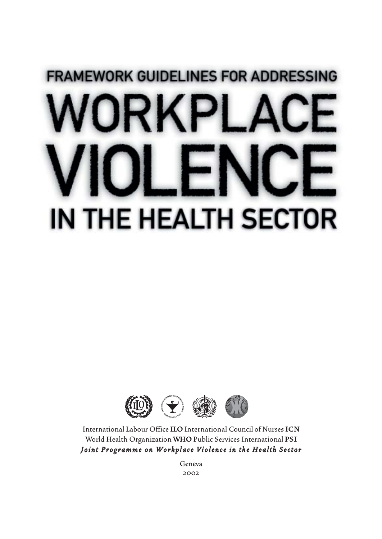# **FRAMEWORK GUIDELINES FOR ADDRESSING** IN THE HEALTH SECTOR



International Labour Office **ILO** International Council of Nurses **ICN** World Health Organization **WHO**Public Services International **PSI** *Joint Programme on Workplace Violence in the Health Sector*

> Geneva 2002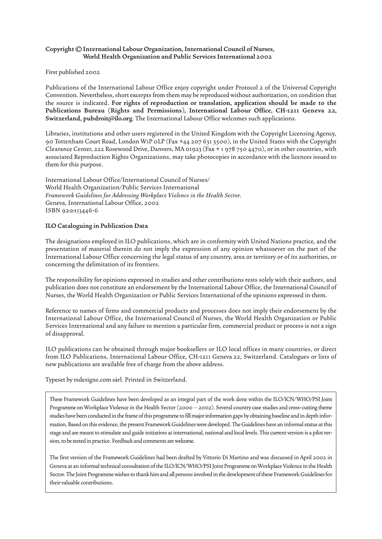#### **Copyright © International Labour Organization, International Council of Nurses, World Health Organization and Public Services International 2002**

First published 2002

Publications of the International Labour Office enjoy copyright under Protocol 2 of the Universal Copyright Convention. Nevertheless, short excerpts from them may be reproduced without authorization, on condition that the source is indicated. **For rights of reproduction or translation, application should be made to the Publications Bureau (Rights and Permissions), International Labour Office, CH-1211 Geneva 22, Switzerland, pubdroit@ilo.org**. The International Labour Office welcomes such applications.

Libraries, institutions and other users registered in the United Kingdom with the Copyright Licensing Agency, 90 Tottenham Court Road, London W1P 0LP (Fax +44 207 631 5500), in the United States with the Copyright Clearance Center, 222 Rosewood Drive, Danvers, MA 01923 (Fax + 1 978 750 4470), or in other countries, with associated Reproduction Rights Organizations, may take photocopies in accordance with the licences issued to them for this purpose.

International Labour Office/International Council of Nurses/ World Health Organization/Public Services International *Framework Guidelines for Addressing Workplace Violence in the Health Sector.* Geneva, International Labour Office, 2002 ISBN 92-2-113446-6

#### **ILO Cataloguing in Publication Data**

The designations employed in ILO publications, which are in conformity with United Nations practice, and the presentation of material therein do not imply the expression of any opinion whatsoever on the part of the International Labour Office concerning the legal status of any country, area or territory or of its authorities, or concerning the delimitation of its frontiers.

The responsibility for opinions expressed in studies and other contributions rests solely with their authors, and publication does not constitute an endorsement by the International Labour Office, the International Council of Nurses, the World Health Organization or Public Services International of the opinions expressed in them.

Reference to names of firms and commercial products and processes does not imply their endorsement by the International Labour Office, the International Council of Nurses, the World Health Organization or Public Services International and any failure to mention a particular firm, commercial product or process is not a sign of disapproval.

ILO publications can be obtained through major booksellers or ILO local offices in many countries, or direct from ILO Publications, International Labour Office, CH-1211 Geneva 22, Switzerland. Catalogues or lists of new publications are available free of charge from the above address.

Typeset by rsdesigns.com sàrl. Printed in Switzerland.

These Framework Guidelines have been developed as an integral part of the work done within the ILO/ICN/WHO/PSI Joint Programme on Workplace Violence in the Health Sector (2000 - 2002). Several country case studies and cross-cutting theme studies have been conducted in the frame of this programme to fill major information gaps by obtaining baseline and in depth information. Based on this evidence, the present Framework Guidelines were developed. The Guidelines have an informal status at this stage and are meant to stimulate and guide initiatives at international, national and local levels. This current version is a pilot version, to be tested in practice. Feedback and comments are welcome.

The first version of the Framework Guidelines had been drafted by Vittorio Di Martino and was discussed in April 2002 in Geneva at an informal technical consultation of the ILO/ICN/WHO/PSI Joint Programme on Workplace Violence in the Health Sector. The Joint Programme wishes to thank him and all persons involved in the development of these Framework Guidelines for their valuable contributions.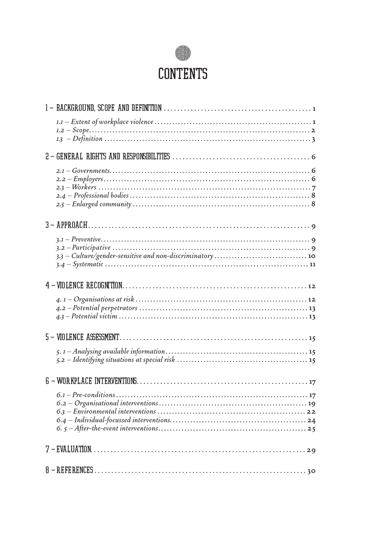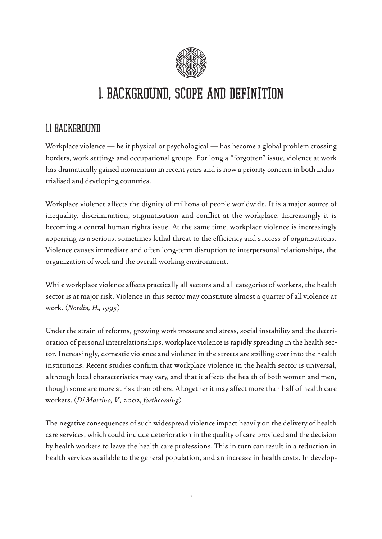

# 1. BACKGROUND, SCOPE AND DEFINITION

### 1.1 BACKGROUND

Workplace violence — be it physical or psychological — has become a global problem crossing borders, work settings and occupational groups. For long a "forgotten" issue, violence at work has dramatically gained momentum in recent years and is now a priority concern in both industrialised and developing countries.

Workplace violence affects the dignity of millions of people worldwide. It is a major source of inequality, discrimination, stigmatisation and conflict at the workplace. Increasingly it is becoming a central human rights issue. At the same time, workplace violence is increasingly appearing as a serious, sometimes lethal threat to the efficiency and success of organisations. Violence causes immediate and often long-term disruption to interpersonal relationships, the organization of work and the overall working environment.

While workplace violence affects practically all sectors and all categories of workers, the health sector is at major risk. Violence in this sector may constitute almost a quarter of all violence at work. (*Nordin, H., 1995)*

Under the strain of reforms, growing work pressure and stress, social instability and the deterioration of personal interrelationships, workplace violence is rapidly spreading in the health sector. Increasingly, domestic violence and violence in the streets are spilling over into the health institutions. Recent studies confirm that workplace violence in the health sector is universal, although local characteristics may vary, and that it affects the health of both women and men, though some are more at risk than others. Altogether it may affect more than half of health care workers. (*Di Martino, V., 2002, forthcoming)*

The negative consequences of such widespread violence impact heavily on the delivery of health care services, which could include deterioration in the quality of care provided and the decision by health workers to leave the health care professions. This in turn can result in a reduction in health services available to the general population, and an increase in health costs. In develop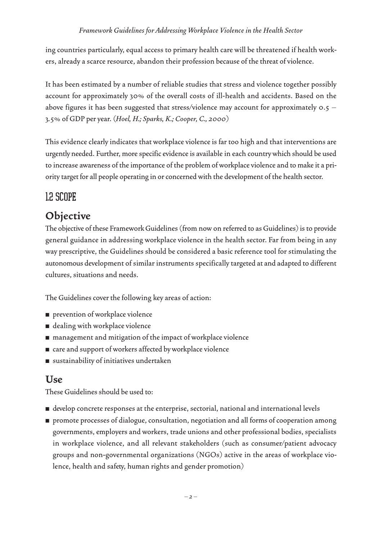ing countries particularly, equal access to primary health care will be threatened if health workers, already a scarce resource, abandon their profession because of the threat of violence.

It has been estimated by a number of reliable studies that stress and violence together possibly account for approximately 30% of the overall costs of ill-health and accidents. Based on the above figures it has been suggested that stress/violence may account for approximately  $0.5 -$ 3.5% of GDP per year. *(Hoel, H.; Sparks, K.; Cooper, C., 2000)*

This evidence clearly indicates that workplace violence is far too high and that interventions are urgently needed. Further, more specific evidence is available in each country which should be used to increase awareness of the importance of the problem of workplace violence and to make it a priority target for all people operating in or concerned with the development of the health sector.

### 1.2 SCOPE

### **Objective**

The objective of these Framework Guidelines (from now on referred to as Guidelines) is to provide general guidance in addressing workplace violence in the health sector. Far from being in any way prescriptive, the Guidelines should be considered a basic reference tool for stimulating the autonomous development of similar instruments specifically targeted at and adapted to different cultures, situations and needs.

The Guidelines cover the following key areas of action:

- prevention of workplace violence
- dealing with workplace violence
- management and mitigation of the impact of workplace violence
- care and support of workers affected by workplace violence
- sustainability of initiatives undertaken

### **Use**

These Guidelines should be used to:

- develop concrete responses at the enterprise, sectorial, national and international levels
- promote processes of dialogue, consultation, negotiation and all forms of cooperation among governments, employers and workers, trade unions and other professional bodies, specialists in workplace violence, and all relevant stakeholders (such as consumer/patient advocacy groups and non-governmental organizations (NGOs) active in the areas of workplace violence, health and safety, human rights and gender promotion)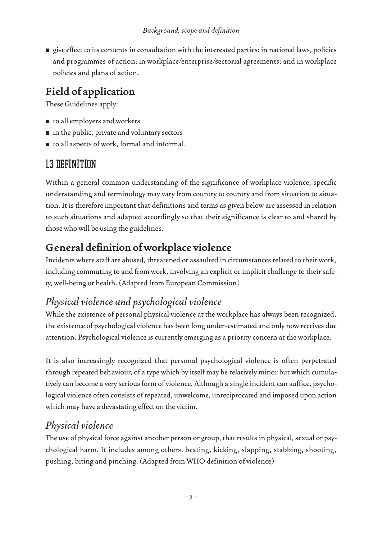■ give effect to its contents in consultation with the interested parties: in national laws, policies and programmes of action; in workplace/enterprise/sectorial agreements; and in workplace policies and plans of action.

### **Field of application**

These Guidelines apply:

- to all employers and workers
- in the public, private and voluntary sectors
- to all aspects of work, formal and informal.

### 1.3 DEFINITION

Within a general common understanding of the significance of workplace violence, specific understanding and terminology may vary from country to country and from situation to situation. It is therefore important that definitions and terms as given below are assessed in relation to such situations and adapted accordingly so that their significance is clear to and shared by those who will be using the guidelines.

### **General definition of workplace violence**

Incidents where staff are abused, threatened or assaulted in circumstances related to their work, including commuting to and from work, involving an explicit or implicit challenge to their safety, well-being or health. (Adapted from European Commission)

### *Physical violence and psychological violence*

While the existence of personal physical violence at the workplace has always been recognized, the existence of psychological violence has been long under-estimated and only now receives due attention. Psychological violence is currently emerging as a priority concern at the workplace.

It is also increasingly recognized that personal psychological violence is often perpetrated through repeated behaviour, of a type which by itself may be relatively minor but which cumulatively can become a very serious form of violence. Although a single incident can suffice, psychological violence often consists of repeated, unwelcome, unreciprocated and imposed upon action which may have a devastating effect on the victim.

### *Physical violence*

The use of physical force against another person or group, that results in physical, sexual or psychological harm. It includes among others, beating, kicking, slapping, stabbing, shooting, pushing, biting and pinching. (Adapted from WHO definition of violence)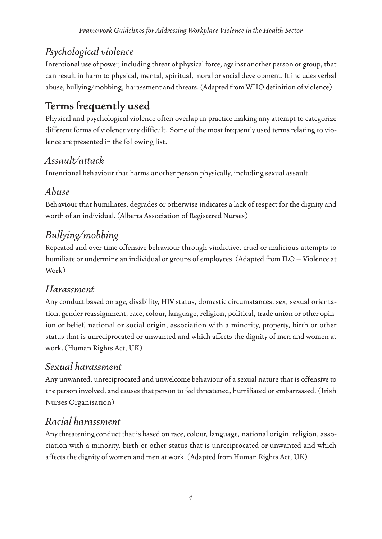### *Psychological violence*

Intentional use of power, including threat of physical force, against another person or group, that can result in harm to physical, mental, spiritual, moral or social development. It includes verbal abuse, bullying/mobbing, harassment and threats. (Adapted from WHO definition of violence)

### **Terms frequently used**

Physical and psychological violence often overlap in practice making any attempt to categorize different forms of violence very difficult. Some of the most frequently used terms relating to violence are presented in the following list.

### *Assault/attack*

Intentional behaviour that harms another person physically, including sexual assault.

### *Abuse*

Behaviour that humiliates, degrades or otherwise indicates a lack of respect for the dignity and worth of an individual. (Alberta Association of Registered Nurses)

### *Bullying/mobbing*

Repeated and over time offensive behaviour through vindictive, cruel or malicious attempts to humiliate or undermine an individual or groups of employees. (Adapted from ILO – Violence at Work)

### *Harassment*

Any conduct based on age, disability, HIV status, domestic circumstances, sex, sexual orientation, gender reassignment, race, colour, language, religion, political, trade union or other opinion or belief, national or social origin, association with a minority, property, birth or other status that is unreciprocated or unwanted and which affects the dignity of men and women at work. (Human Rights Act, UK)

### *Sexual harassment*

Any unwanted, unreciprocated and unwelcome behaviour of a sexual nature that is offensive to the person involved, and causes that person to feel threatened, humiliated or embarrassed. (Irish Nurses Organisation)

### *Racial harassment*

Any threatening conduct that is based on race, colour, language, national origin, religion, association with a minority, birth or other status that is unreciprocated or unwanted and which affects the dignity of women and men at work. (Adapted from Human Rights Act, UK)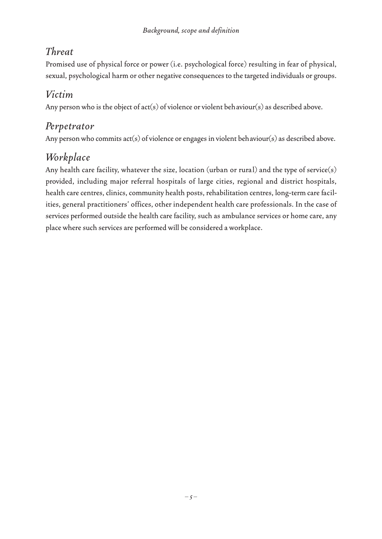### *Threat*

Promised use of physical force or power (i.e. psychological force) resulting in fear of physical, sexual, psychological harm or other negative consequences to the targeted individuals or groups.

### *Victim*

Any person who is the object of act(s) of violence or violent behaviour(s) as described above.

### *Perpetrator*

Any person who commits act(s) of violence or engages in violent behaviour(s) as described above.

### *Workplace*

Any health care facility, whatever the size, location (urban or rural) and the type of service(s) provided, including major referral hospitals of large cities, regional and district hospitals, health care centres, clinics, community health posts, rehabilitation centres, long-term care facilities, general practitioners' offices, other independent health care professionals. In the case of services performed outside the health care facility, such as ambulance services or home care, any place where such services are performed will be considered a workplace.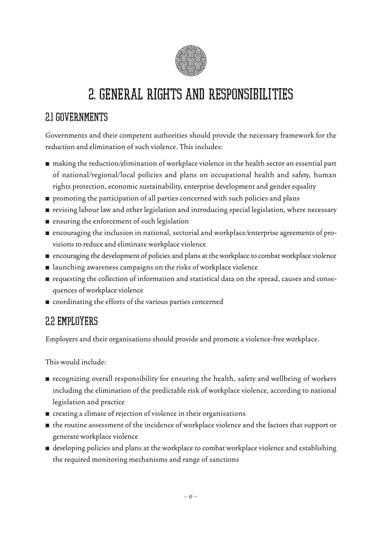

# 2. GENERAL RIGHTS AND RESPONSIBILITIES

### 2.1 GOVERNMENTS

Governments and their competent authorities should provide the necessary framework for the reduction and elimination of such violence. This includes:

- making the reduction/elimination of workplace violence in the health sector an essential part of national/regional/local policies and plans on occupational health and safety, human rights protection, economic sustainability, enterprise development and gender equality
- promoting the participation of all parties concerned with such policies and plans
- revising labour law and other legislation and introducing special legislation, where necessary
- ensuring the enforcement of such legislation
- encouraging the inclusion in national, sectorial and workplace/enterprise agreements of provisions to reduce and eliminate workplace violence
- encouraging the development of policies and plans at the workplace to combat workplace violence
- launching awareness campaigns on the risks of workplace violence
- requesting the collection of information and statistical data on the spread, causes and consequences of workplace violence
- coordinating the efforts of the various parties concerned

### 2.2 EMPLOYERS

Employers and their organisations should provide and promote a violence-free workplace.

This would include:

- recognizing overall responsibility for ensuring the health, safety and wellbeing of workers including the elimination of the predictable risk of workplace violence, according to national legislation and practice
- creating a climate of rejection of violence in their organisations
- the routine assessment of the incidence of workplace violence and the factors that support or generate workplace violence
- developing policies and plans at the workplace to combat workplace violence and establishing the required monitoring mechanisms and range of sanctions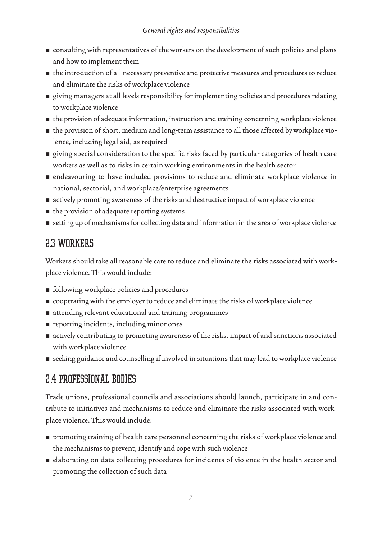- consulting with representatives of the workers on the development of such policies and plans and how to implement them
- the introduction of all necessary preventive and protective measures and procedures to reduce and eliminate the risks of workplace violence
- giving managers at all levels responsibility for implementing policies and procedures relating to workplace violence
- the provision of adequate information, instruction and training concerning workplace violence
- the provision of short, medium and long-term assistance to all those affected by workplace violence, including legal aid, as required
- giving special consideration to the specific risks faced by particular categories of health care workers as well as to risks in certain working environments in the health sector
- endeavouring to have included provisions to reduce and eliminate workplace violence in national, sectorial, and workplace/enterprise agreements
- actively promoting awareness of the risks and destructive impact of workplace violence
- the provision of adequate reporting systems
- setting up of mechanisms for collecting data and information in the area of workplace violence

### 2.3 WORKERS

Workers should take all reasonable care to reduce and eliminate the risks associated with workplace violence. This would include:

- following workplace policies and procedures
- cooperating with the employer to reduce and eliminate the risks of workplace violence
- attending relevant educational and training programmes
- reporting incidents, including minor ones
- actively contributing to promoting awareness of the risks, impact of and sanctions associated with workplace violence
- seeking guidance and counselling if involved in situations that may lead to workplace violence

### 2.4 PROFESSIONAL BODIES

Trade unions, professional councils and associations should launch, participate in and contribute to initiatives and mechanisms to reduce and eliminate the risks associated with workplace violence. This would include:

- promoting training of health care personnel concerning the risks of workplace violence and the mechanisms to prevent, identify and cope with such violence
- elaborating on data collecting procedures for incidents of violence in the health sector and promoting the collection of such data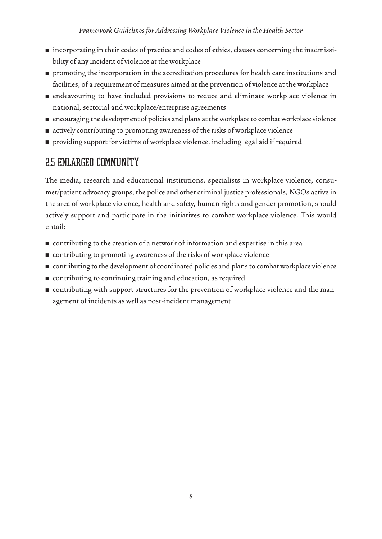- incorporating in their codes of practice and codes of ethics, clauses concerning the inadmissibility of any incident of violence at the workplace
- promoting the incorporation in the accreditation procedures for health care institutions and facilities, of a requirement of measures aimed at the prevention of violence at the workplace
- endeavouring to have included provisions to reduce and eliminate workplace violence in national, sectorial and workplace/enterprise agreements
- encouraging the development of policies and plans at the workplace to combat workplace violence
- actively contributing to promoting awareness of the risks of workplace violence
- providing support for victims of workplace violence, including legal aid if required

### 2.5 ENLARGED COMMUNITY

The media, research and educational institutions, specialists in workplace violence, consumer/patient advocacy groups, the police and other criminal justice professionals, NGOs active in the area of workplace violence, health and safety, human rights and gender promotion, should actively support and participate in the initiatives to combat workplace violence. This would entail:

- contributing to the creation of a network of information and expertise in this area
- contributing to promoting awareness of the risks of workplace violence
- contributing to the development of coordinated policies and plans to combat workplace violence
- contributing to continuing training and education, as required
- contributing with support structures for the prevention of workplace violence and the management of incidents as well as post-incident management.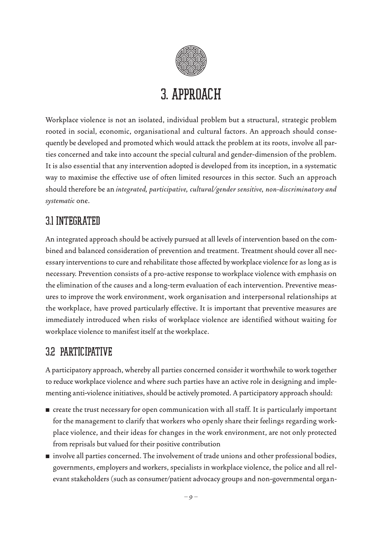

### 3. APPROACH

Workplace violence is not an isolated, individual problem but a structural, strategic problem rooted in social, economic, organisational and cultural factors. An approach should consequently be developed and promoted which would attack the problem at its roots, involve all parties concerned and take into account the special cultural and gender-dimension of the problem. It is also essential that any intervention adopted is developed from its inception, in a systematic way to maximise the effective use of often limited resources in this sector. Such an approach should therefore be an *integrated, participative, cultural/gender sensitive, non-discriminatory and systematic* one.

### 3.1 INTEGRATED

An integrated approach should be actively pursued at all levels of intervention based on the combined and balanced consideration of prevention and treatment. Treatment should cover all necessary interventions to cure and rehabilitate those affected by workplace violence for as long as is necessary. Prevention consists of a pro-active response to workplace violence with emphasis on the elimination of the causes and a long-term evaluation of each intervention. Preventive measures to improve the work environment, work organisation and interpersonal relationships at the workplace, have proved particularly effective. It is important that preventive measures are immediately introduced when risks of workplace violence are identified without waiting for workplace violence to manifest itself at the workplace.

### 3.2 PARTICIPATIVE

A participatory approach, whereby all parties concerned consider it worthwhile to work together to reduce workplace violence and where such parties have an active role in designing and implementing anti-violence initiatives, should be actively promoted. A participatory approach should:

- create the trust necessary for open communication with all staff. It is particularly important for the management to clarify that workers who openly share their feelings regarding workplace violence, and their ideas for changes in the work environment, are not only protected from reprisals but valued for their positive contribution
- involve all parties concerned. The involvement of trade unions and other professional bodies, governments, employers and workers, specialists in workplace violence, the police and all relevant stakeholders (such as consumer/patient advocacy groups and non-governmental organ-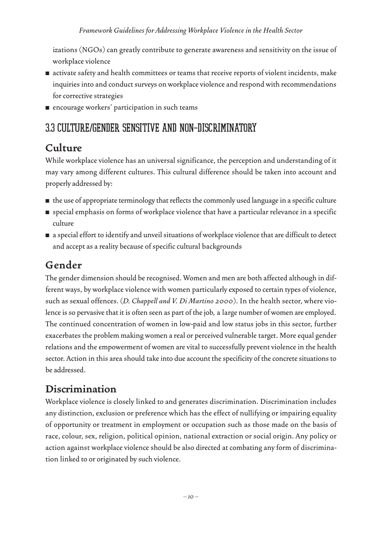izations (NGOs) can greatly contribute to generate awareness and sensitivity on the issue of workplace violence

- activate safety and health committees or teams that receive reports of violent incidents, make inquiries into and conduct surveys on workplace violence and respond with recommendations for corrective strategies
- encourage workers' participation in such teams

### 3.3 CULTURE/GENDER SENSITIVE AND NON-DISCRIMINATORY

### **Culture**

While workplace violence has an universal significance, the perception and understanding of it may vary among different cultures. This cultural difference should be taken into account and properly addressed by:

- the use of appropriate terminology that reflects the commonly used language in a specific culture
- special emphasis on forms of workplace violence that have a particular relevance in a specific culture
- a special effort to identify and unveil situations of workplace violence that are difficult to detect and accept as a reality because of specific cultural backgrounds

### **Gender**

The gender dimension should be recognised. Women and men are both affected although in different ways, by workplace violence with women particularly exposed to certain types of violence, such as sexual offences. (*D. Chappell and V. Di Martino 2000*). In the health sector, where violence is so pervasive that it is often seen as part of the job, a large number of women are employed. The continued concentration of women in low-paid and low status jobs in this sector, further exacerbates the problem making women a real or perceived vulnerable target. More equal gender relations and the empowerment of women are vital to successfully prevent violence in the health sector. Action in this area should take into due account the specificity of the concrete situations to be addressed.

### **Discrimination**

Workplace violence is closely linked to and generates discrimination. Discrimination includes any distinction, exclusion or preference which has the effect of nullifying or impairing equality of opportunity or treatment in employment or occupation such as those made on the basis of race, colour, sex, religion, political opinion, national extraction or social origin. Any policy or action against workplace violence should be also directed at combating any form of discrimination linked to or originated by such violence.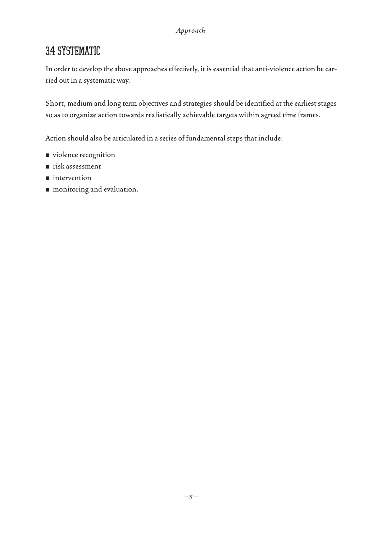### 3.4 SYSTEMATIC

In order to develop the above approaches effectively, it is essential that anti-violence action be carried out in a systematic way.

Short, medium and long term objectives and strategies should be identified at the earliest stages so as to organize action towards realistically achievable targets within agreed time frames.

Action should also be articulated in a series of fundamental steps that include:

- violence recognition
- risk assessment
- intervention
- monitoring and evaluation.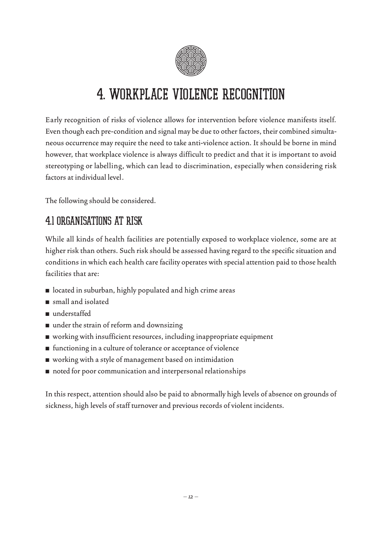

## 4. WORKPLACE VIOLENCE RECOGNITION

Early recognition of risks of violence allows for intervention before violence manifests itself. Even though each pre-condition and signal may be due to other factors, their combined simultaneous occurrence may require the need to take anti-violence action. It should be borne in mind however, that workplace violence is always difficult to predict and that it is important to avoid stereotyping or labelling, which can lead to discrimination, especially when considering risk factors at individual level.

The following should be considered.

### 4.1 ORGANISATIONS AT RISK

While all kinds of health facilities are potentially exposed to workplace violence, some are at higher risk than others. Such risk should be assessed having regard to the specific situation and conditions in which each health care facility operates with special attention paid to those health facilities that are:

- located in suburban, highly populated and high crime areas
- small and isolated
- understaffed
- under the strain of reform and downsizing
- working with insufficient resources, including inappropriate equipment
- functioning in a culture of tolerance or acceptance of violence
- working with a style of management based on intimidation
- noted for poor communication and interpersonal relationships

In this respect, attention should also be paid to abnormally high levels of absence on grounds of sickness, high levels of staff turnover and previous records of violent incidents.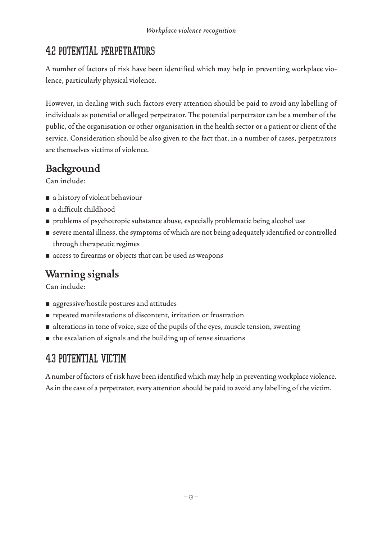### 4.2 POTENTIAL PERPETRATORS

A number of factors of risk have been identified which may help in preventing workplace violence, particularly physical violence.

However, in dealing with such factors every attention should be paid to avoid any labelling of individuals as potential or alleged perpetrator. The potential perpetrator can be a member of the public, of the organisation or other organisation in the health sector or a patient or client of the service. Consideration should be also given to the fact that, in a number of cases, perpetrators are themselves victims of violence.

### **Background**

Can include:

- a history of violent behaviour
- a difficult childhood
- problems of psychotropic substance abuse, especially problematic being alcohol use
- severe mental illness, the symptoms of which are not being adequately identified or controlled through therapeutic regimes
- access to firearms or objects that can be used as weapons

### **Warning signals**

Can include:

- aggressive/hostile postures and attitudes
- repeated manifestations of discontent, irritation or frustration
- alterations in tone of voice, size of the pupils of the eyes, muscle tension, sweating
- the escalation of signals and the building up of tense situations

### 4.3 POTENTIAL VICTIM

A number of factors of risk have been identified which may help in preventing workplace violence. As in the case of a perpetrator, every attention should be paid to avoid any labelling of the victim.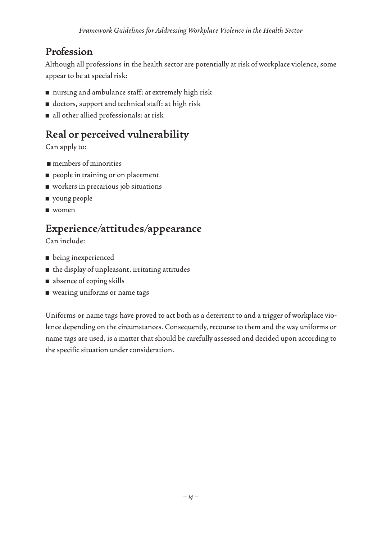### **Profession**

Although all professions in the health sector are potentially at risk of workplace violence, some appear to be at special risk:

- nursing and ambulance staff: at extremely high risk
- doctors, support and technical staff: at high risk
- all other allied professionals: at risk

### **Real or perceived vulnerability**

Can apply to:

- members of minorities
- people in training or on placement
- workers in precarious job situations
- young people
- women

### **Experience/attitudes/appearance**

Can include:

- being inexperienced
- the display of unpleasant, irritating attitudes
- absence of coping skills
- wearing uniforms or name tags

Uniforms or name tags have proved to act both as a deterrent to and a trigger of workplace violence depending on the circumstances. Consequently, recourse to them and the way uniforms or name tags are used, is a matter that should be carefully assessed and decided upon according to the specific situation under consideration.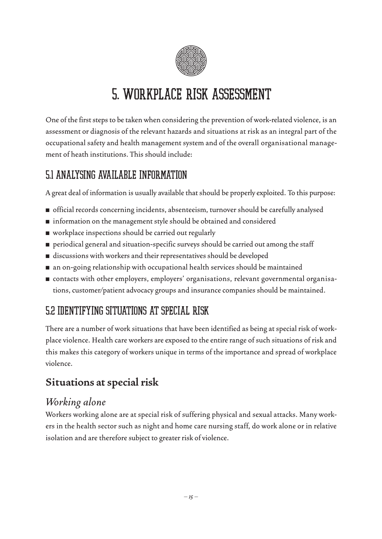

## 5. WORKPLACE RISK ASSESSMENT

One of the first steps to be taken when considering the prevention of work-related violence, is an assessment or diagnosis of the relevant hazards and situations at risk as an integral part of the occupational safety and health management system and of the overall organisational management of heath institutions. This should include:

### 5.1 ANALYSING AVAILABLE INFORMATION

A great deal of information is usually available that should be properly exploited. To this purpose:

- official records concerning incidents, absenteeism, turnover should be carefully analysed
- information on the management style should be obtained and considered
- workplace inspections should be carried out regularly
- periodical general and situation-specific surveys should be carried out among the staff
- discussions with workers and their representatives should be developed
- an on-going relationship with occupational health services should be maintained
- contacts with other employers, employers' organisations, relevant governmental organisations, customer/patient advocacy groups and insurance companies should be maintained.

### 5.2 IDENTIFYING SITUATIONS AT SPECIAL RISK

There are a number of work situations that have been identified as being at special risk of workplace violence. Health care workers are exposed to the entire range of such situations of risk and this makes this category of workers unique in terms of the importance and spread of workplace violence.

### **Situations at special risk**

### *Working alone*

Workers working alone are at special risk of suffering physical and sexual attacks. Many workers in the health sector such as night and home care nursing staff, do work alone or in relative isolation and are therefore subject to greater risk of violence.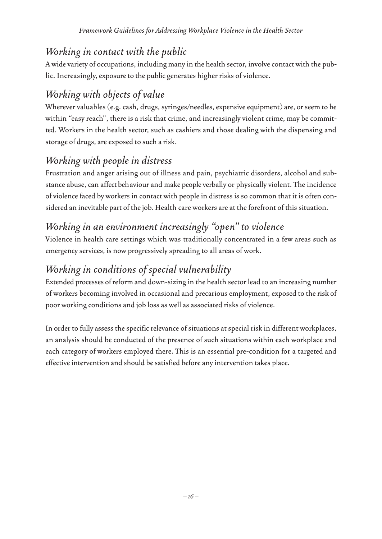### *Working in contact with the public*

A wide variety of occupations, including many in the health sector, involve contact with the public. Increasingly, exposure to the public generates higher risks of violence.

### *Working with objects of value*

Wherever valuables (e.g. cash, drugs, syringes/needles, expensive equipment) are, or seem to be within "easy reach", there is a risk that crime, and increasingly violent crime, may be committed. Workers in the health sector, such as cashiers and those dealing with the dispensing and storage of drugs, are exposed to such a risk.

### *Working with people in distress*

Frustration and anger arising out of illness and pain, psychiatric disorders, alcohol and substance abuse, can affect behaviour and make people verbally or physically violent. The incidence of violence faced by workers in contact with people in distress is so common that it is often considered an inevitable part of the job. Health care workers are at the forefront of this situation.

### *Working in an environment increasingly "open" to violence*

Violence in health care settings which was traditionally concentrated in a few areas such as emergency services, is now progressively spreading to all areas of work.

### *Working in conditions of special vulnerability*

Extended processes of reform and down-sizing in the health sector lead to an increasing number of workers becoming involved in occasional and precarious employment, exposed to the risk of poor working conditions and job loss as well as associated risks of violence.

In order to fully assess the specific relevance of situations at special risk in different workplaces, an analysis should be conducted of the presence of such situations within each workplace and each category of workers employed there. This is an essential pre-condition for a targeted and effective intervention and should be satisfied before any intervention takes place.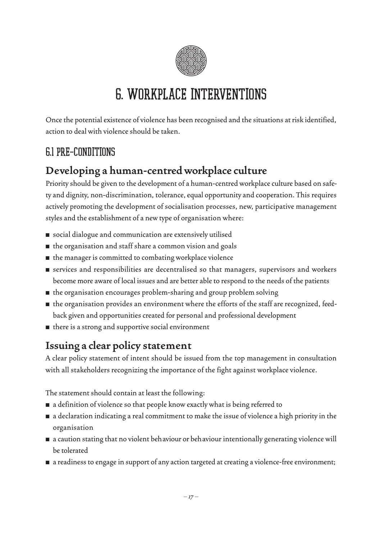

# 6. WORKPLACE INTERVENTIONS

Once the potential existence of violence has been recognised and the situations at risk identified, action to deal with violence should be taken.

### 6.1 PRE-CONDITIONS

### **Developing a human-centred workplace culture**

Priority should be given to the development of a human-centred workplace culture based on safety and dignity, non-discrimination, tolerance, equal opportunity and cooperation. This requires actively promoting the development of socialisation processes, new, participative management styles and the establishment of a new type of organisation where:

- social dialogue and communication are extensively utilised
- the organisation and staff share a common vision and goals
- the manager is committed to combating workplace violence
- services and responsibilities are decentralised so that managers, supervisors and workers become more aware of local issues and are better able to respond to the needs of the patients
- the organisation encourages problem-sharing and group problem solving
- the organisation provides an environment where the efforts of the staff are recognized, feedback given and opportunities created for personal and professional development
- there is a strong and supportive social environment

### **Issuing a clear policy statement**

A clear policy statement of intent should be issued from the top management in consultation with all stakeholders recognizing the importance of the fight against workplace violence.

The statement should contain at least the following:

- a definition of violence so that people know exactly what is being referred to
- a declaration indicating a real commitment to make the issue of violence a high priority in the organisation
- a caution stating that no violent behaviour or behaviour intentionally generating violence will be tolerated
- a readiness to engage in support of any action targeted at creating a violence-free environment;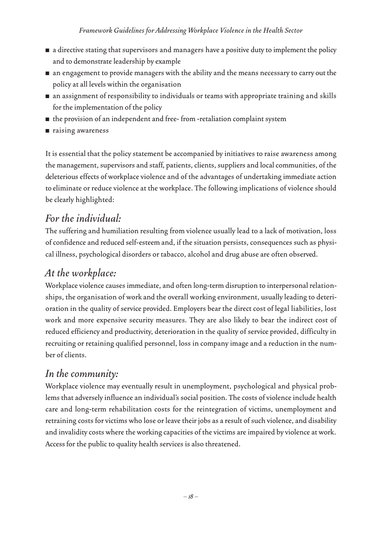- a directive stating that supervisors and managers have a positive duty to implement the policy and to demonstrate leadership by example
- an engagement to provide managers with the ability and the means necessary to carry out the policy at all levels within the organisation
- an assignment of responsibility to individuals or teams with appropriate training and skills for the implementation of the policy
- the provision of an independent and free- from -retaliation complaint system
- raising awareness

It is essential that the policy statement be accompanied by initiatives to raise awareness among the management, supervisors and staff, patients, clients, suppliers and local communities, of the deleterious effects of workplace violence and of the advantages of undertaking immediate action to eliminate or reduce violence at the workplace. The following implications of violence should be clearly highlighted:

### *For the individual:*

The suffering and humiliation resulting from violence usually lead to a lack of motivation, loss of confidence and reduced self-esteem and, if the situation persists, consequences such as physical illness, psychological disorders or tabacco, alcohol and drug abuse are often observed.

### *At the workplace:*

Workplace violence causes immediate, and often long-term disruption to interpersonal relationships, the organisation of work and the overall working environment, usually leading to deterioration in the quality of service provided. Employers bear the direct cost of legal liabilities, lost work and more expensive security measures. They are also likely to bear the indirect cost of reduced efficiency and productivity, deterioration in the quality of service provided, difficulty in recruiting or retaining qualified personnel, loss in company image and a reduction in the number of clients.

### *In the community:*

Workplace violence may eventually result in unemployment, psychological and physical problems that adversely influence an individual's social position. The costs of violence include health care and long-term rehabilitation costs for the reintegration of victims, unemployment and retraining costs for victims who lose or leave their jobs as a result of such violence, and disability and invalidity costs where the working capacities of the victims are impaired by violence at work. Access for the public to quality health services is also threatened.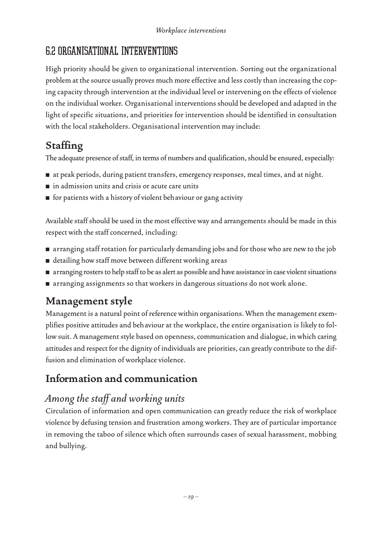### 6.2 ORGANISATIONAL INTERVENTIONS

High priority should be given to organizational intervention. Sorting out the organizational problem at the source usually proves much more effective and less costly than increasing the coping capacity through intervention at the individual level or intervening on the effects of violence on the individual worker. Organisational interventions should be developed and adapted in the light of specific situations, and priorities for intervention should be identified in consultation with the local stakeholders. Organisational intervention may include:

### **Staffing**

The adequate presence of staff, in terms of numbers and qualification, should be ensured, especially:

- at peak periods, during patient transfers, emergency responses, meal times, and at night.
- in admission units and crisis or acute care units
- for patients with a history of violent behaviour or gang activity

Available staff should be used in the most effective way and arrangements should be made in this respect with the staff concerned, including:

- arranging staff rotation for particularly demanding jobs and for those who are new to the job
- detailing how staff move between different working areas
- arranging rosters to help staff to be as alert as possible and have assistance in case violent situations
- arranging assignments so that workers in dangerous situations do not work alone.

### **Management style**

Management is a natural point of reference within organisations. When the management exemplifies positive attitudes and behaviour at the workplace, the entire organisation is likely to follow suit. A management style based on openness, communication and dialogue, in which caring attitudes and respect for the dignity of individuals are priorities, can greatly contribute to the diffusion and elimination of workplace violence.

### **Information and communication**

### *Among the staff and working units*

Circulation of information and open communication can greatly reduce the risk of workplace violence by defusing tension and frustration among workers. They are of particular importance in removing the taboo of silence which often surrounds cases of sexual harassment, mobbing and bullying.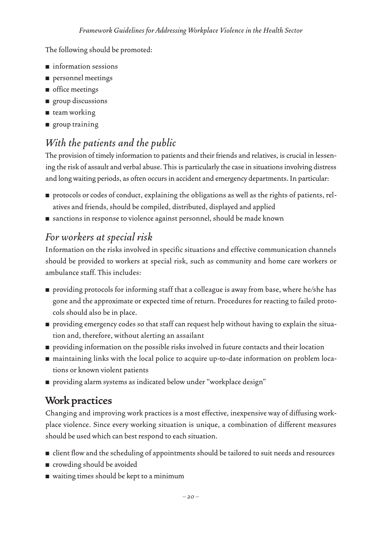#### The following should be promoted:

- information sessions
- personnel meetings
- office meetings
- group discussions
- team working
- group training

### *With the patients and the public*

The provision of timely information to patients and their friends and relatives, is crucial in lessening the risk of assault and verbal abuse. This is particularly the case in situations involving distress and long waiting periods, as often occurs in accident and emergency departments. In particular:

- protocols or codes of conduct, explaining the obligations as well as the rights of patients, relatives and friends, should be compiled, distributed, displayed and applied
- sanctions in response to violence against personnel, should be made known

### *For workers at special risk*

Information on the risks involved in specific situations and effective communication channels should be provided to workers at special risk, such as community and home care workers or ambulance staff. This includes:

- providing protocols for informing staff that a colleague is away from base, where he/she has gone and the approximate or expected time of return. Procedures for reacting to failed protocols should also be in place.
- providing emergency codes so that staff can request help without having to explain the situation and, therefore, without alerting an assailant
- providing information on the possible risks involved in future contacts and their location
- maintaining links with the local police to acquire up-to-date information on problem locations or known violent patients
- providing alarm systems as indicated below under "workplace design"

### **Work practices**

Changing and improving work practices is a most effective, inexpensive way of diffusing workplace violence. Since every working situation is unique, a combination of different measures should be used which can best respond to each situation.

- client flow and the scheduling of appointments should be tailored to suit needs and resources
- crowding should be avoided
- waiting times should be kept to a minimum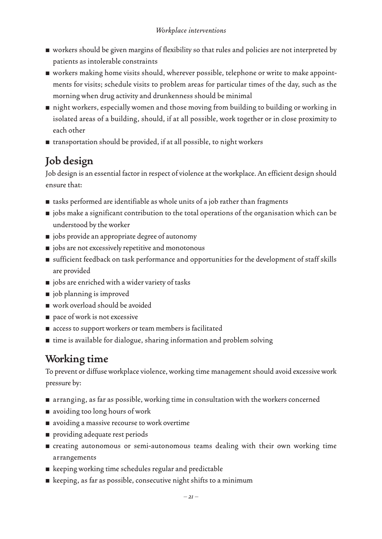- workers should be given margins of flexibility so that rules and policies are not interpreted by patients as intolerable constraints
- workers making home visits should, wherever possible, telephone or write to make appointments for visits; schedule visits to problem areas for particular times of the day, such as the morning when drug activity and drunkenness should be minimal
- night workers, especially women and those moving from building to building or working in isolated areas of a building, should, if at all possible, work together or in close proximity to each other
- transportation should be provided, if at all possible, to night workers

### **Job design**

Job design is an essential factor in respect of violence at the workplace. An efficient design should ensure that:

- tasks performed are identifiable as whole units of a job rather than fragments
- jobs make a significant contribution to the total operations of the organisation which can be understood by the worker
- jobs provide an appropriate degree of autonomy
- jobs are not excessively repetitive and monotonous
- sufficient feedback on task performance and opportunities for the development of staff skills are provided
- jobs are enriched with a wider variety of tasks
- job planning is improved
- work overload should be avoided
- pace of work is not excessive
- access to support workers or team members is facilitated
- time is available for dialogue, sharing information and problem solving

### **Working time**

To prevent or diffuse workplace violence, working time management should avoid excessive work pressure by:

- arranging, as far as possible, working time in consultation with the workers concerned
- avoiding too long hours of work
- avoiding a massive recourse to work overtime
- providing adequate rest periods
- creating autonomous or semi-autonomous teams dealing with their own working time arrangements
- keeping working time schedules regular and predictable
- $\blacksquare$  keeping, as far as possible, consecutive night shifts to a minimum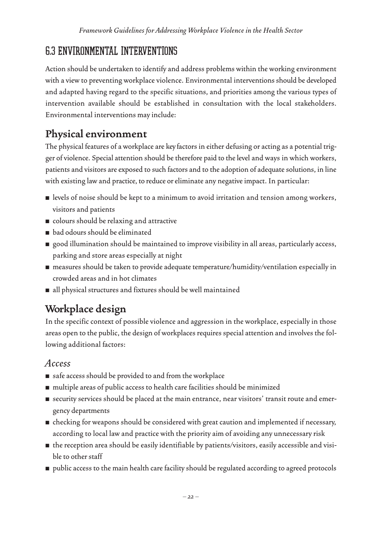### 6.3 ENVIRONMENTAL INTERVENTIONS

Action should be undertaken to identify and address problems within the working environment with a view to preventing workplace violence. Environmental interventions should be developed and adapted having regard to the specific situations, and priorities among the various types of intervention available should be established in consultation with the local stakeholders. Environmental interventions may include:

### **Physical environment**

The physical features of a workplace are key factors in either defusing or acting as a potential trigger of violence. Special attention should be therefore paid to the level and ways in which workers, patients and visitors are exposed to such factors and to the adoption of adequate solutions, in line with existing law and practice, to reduce or eliminate any negative impact. In particular:

- levels of noise should be kept to a minimum to avoid irritation and tension among workers, visitors and patients
- colours should be relaxing and attractive
- bad odours should be eliminated
- good illumination should be maintained to improve visibility in all areas, particularly access, parking and store areas especially at night
- measures should be taken to provide adequate temperature/humidity/ventilation especially in crowded areas and in hot climates
- all physical structures and fixtures should be well maintained

### **Workplace design**

In the specific context of possible violence and aggression in the workplace, especially in those areas open to the public, the design of workplaces requires special attention and involves the following additional factors:

### *Access*

- safe access should be provided to and from the workplace
- multiple areas of public access to health care facilities should be minimized
- security services should be placed at the main entrance, near visitors' transit route and emergency departments
- checking for weapons should be considered with great caution and implemented if necessary, according to local law and practice with the priority aim of avoiding any unnecessary risk
- the reception area should be easily identifiable by patients/visitors, easily accessible and visible to other staff
- public access to the main health care facility should be regulated according to agreed protocols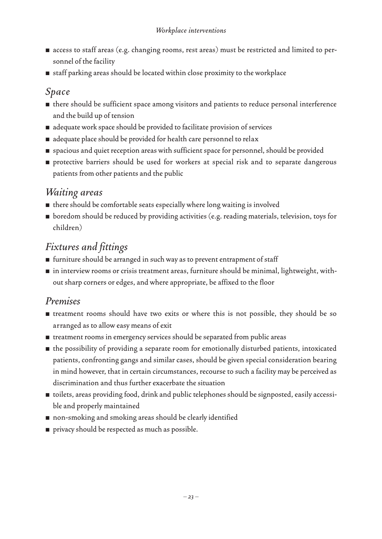- access to staff areas (e.g. changing rooms, rest areas) must be restricted and limited to personnel of the facility
- staff parking areas should be located within close proximity to the workplace

#### *Space*

- there should be sufficient space among visitors and patients to reduce personal interference and the build up of tension
- adequate work space should be provided to facilitate provision of services
- adequate place should be provided for health care personnel to relax
- spacious and quiet reception areas with sufficient space for personnel, should be provided
- protective barriers should be used for workers at special risk and to separate dangerous patients from other patients and the public

### *Waiting areas*

- $\blacksquare$  there should be comfortable seats especially where long waiting is involved
- boredom should be reduced by providing activities (e.g. reading materials, television, toys for children)

### *Fixtures and fittings*

- furniture should be arranged in such way as to prevent entrapment of staff
- in interview rooms or crisis treatment areas, furniture should be minimal, lightweight, without sharp corners or edges, and where appropriate, be affixed to the floor

#### *Premises*

- treatment rooms should have two exits or where this is not possible, they should be so arranged as to allow easy means of exit
- treatment rooms in emergency services should be separated from public areas
- the possibility of providing a separate room for emotionally disturbed patients, intoxicated patients, confronting gangs and similar cases, should be given special consideration bearing in mind however, that in certain circumstances, recourse to such a facility may be perceived as discrimination and thus further exacerbate the situation
- toilets, areas providing food, drink and public telephones should be signposted, easily accessible and properly maintained
- non-smoking and smoking areas should be clearly identified
- privacy should be respected as much as possible.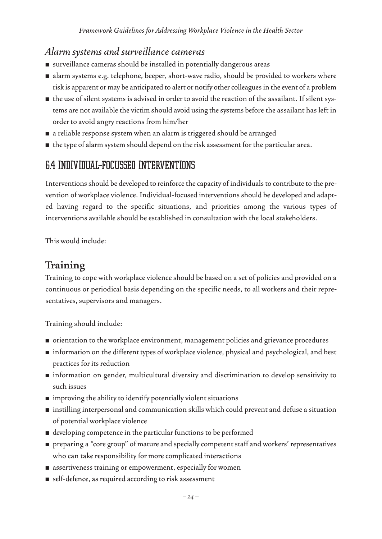### *Alarm systems and surveillance cameras*

- surveillance cameras should be installed in potentially dangerous areas
- alarm systems e.g. telephone, beeper, short-wave radio, should be provided to workers where risk is apparent or may be anticipated to alert or notify other colleagues in the event of a problem
- the use of silent systems is advised in order to avoid the reaction of the assailant. If silent systems are not available the victim should avoid using the systems before the assailant has left in order to avoid angry reactions from him/her
- a reliable response system when an alarm is triggered should be arranged
- the type of alarm system should depend on the risk assessment for the particular area.

### 6.4 INDIVIDUAL-FOCUSSED INTERVENTIONS

Interventions should be developed to reinforce the capacity of individuals to contribute to the prevention of workplace violence. Individual-focused interventions should be developed and adapted having regard to the specific situations, and priorities among the various types of interventions available should be established in consultation with the local stakeholders.

This would include:

### **Training**

Training to cope with workplace violence should be based on a set of policies and provided on a continuous or periodical basis depending on the specific needs, to all workers and their representatives, supervisors and managers.

Training should include:

- orientation to the workplace environment, management policies and grievance procedures
- information on the different types of workplace violence, physical and psychological, and best practices for its reduction
- information on gender, multicultural diversity and discrimination to develop sensitivity to such issues
- improving the ability to identify potentially violent situations
- instilling interpersonal and communication skills which could prevent and defuse a situation of potential workplace violence
- developing competence in the particular functions to be performed
- preparing a "core group" of mature and specially competent staff and workers' representatives who can take responsibility for more complicated interactions
- assertiveness training or empowerment, especially for women
- self-defence, as required according to risk assessment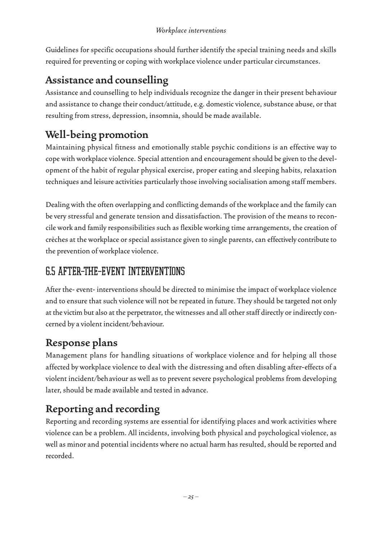Guidelines for specific occupations should further identify the special training needs and skills required for preventing or coping with workplace violence under particular circumstances.

### **Assistance and counselling**

Assistance and counselling to help individuals recognize the danger in their present behaviour and assistance to change their conduct/attitude, e.g. domestic violence, substance abuse, or that resulting from stress, depression, insomnia, should be made available.

### **Well-being promotion**

Maintaining physical fitness and emotionally stable psychic conditions is an effective way to cope with workplace violence. Special attention and encouragement should be given to the development of the habit of regular physical exercise, proper eating and sleeping habits, relaxation techniques and leisure activities particularly those involving socialisation among staff members.

Dealing with the often overlapping and conflicting demands of the workplace and the family can be very stressful and generate tension and dissatisfaction. The provision of the means to reconcile work and family responsibilities such as flexible working time arrangements, the creation of crèches at the workplace or special assistance given to single parents, can effectively contribute to the prevention of workplace violence.

### 6.5 AFTER-THE-EVENT INTERVENTIONS

After the- event- interventions should be directed to minimise the impact of workplace violence and to ensure that such violence will not be repeated in future. They should be targeted not only at the victim but also at the perpetrator, the witnesses and all other staff directly or indirectly concerned by a violent incident/behaviour.

### **Response plans**

Management plans for handling situations of workplace violence and for helping all those affected by workplace violence to deal with the distressing and often disabling after-effects of a violent incident/behaviour as well as to prevent severe psychological problems from developing later, should be made available and tested in advance.

### **Reporting and recording**

Reporting and recording systems are essential for identifying places and work activities where violence can be a problem. All incidents, involving both physical and psychological violence, as well as minor and potential incidents where no actual harm has resulted, should be reported and recorded.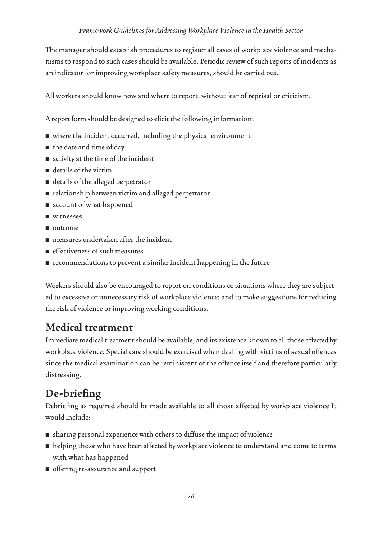The manager should establish procedures to register all cases of workplace violence and mechanisms to respond to such cases should be available. Periodic review of such reports of incidents as an indicator for improving workplace safety measures, should be carried out.

All workers should know how and where to report, without fear of reprisal or criticism.

A report form should be designed to elicit the following information:

- where the incident occurred, including the physical environment
- the date and time of day
- activity at the time of the incident
- details of the victim
- details of the alleged perpetrator
- relationship between victim and alleged perpetrator
- account of what happened
- witnesses
- outcome
- measures undertaken after the incident
- effectiveness of such measures
- recommendations to prevent a similar incident happening in the future

Workers should also be encouraged to report on conditions or situations where they are subjected to excessive or unnecessary risk of workplace violence; and to make suggestions for reducing the risk of violence or improving working conditions.

### **Medical treatment**

Immediate medical treatment should be available, and its existence known to all those affected by workplace violence. Special care should be exercised when dealing with victims of sexual offences since the medical examination can be reminiscent of the offence itself and therefore particularly distressing.

### **De-briefing**

Debriefing as required should be made available to all those affected by workplace violence It would include:

- sharing personal experience with others to diffuse the impact of violence
- helping those who have been affected by workplace violence to understand and come to terms with what has happened
- offering re-assurance and support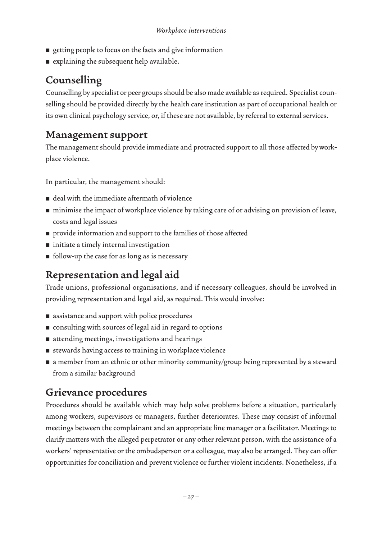- getting people to focus on the facts and give information
- explaining the subsequent help available.

### **Counselling**

Counselling by specialist or peer groups should be also made available as required. Specialist counselling should be provided directly by the health care institution as part of occupational health or its own clinical psychology service, or, if these are not available, by referral to external services.

### **Management support**

The management should provide immediate and protracted support to all those affected by workplace violence.

In particular, the management should:

- deal with the immediate aftermath of violence
- minimise the impact of workplace violence by taking care of or advising on provision of leave, costs and legal issues
- provide information and support to the families of those affected
- initiate a timely internal investigation
- follow-up the case for as long as is necessary

### **Representation and legal aid**

Trade unions, professional organisations, and if necessary colleagues, should be involved in providing representation and legal aid, as required. This would involve:

- assistance and support with police procedures
- consulting with sources of legal aid in regard to options
- attending meetings, investigations and hearings
- stewards having access to training in workplace violence
- a member from an ethnic or other minority community/group being represented by a steward from a similar background

### **Grievance procedures**

Procedures should be available which may help solve problems before a situation, particularly among workers, supervisors or managers, further deteriorates. These may consist of informal meetings between the complainant and an appropriate line manager or a facilitator. Meetings to clarify matters with the alleged perpetrator or any other relevant person, with the assistance of a workers' representative or the ombudsperson or a colleague, may also be arranged. They can offer opportunities for conciliation and prevent violence or further violent incidents. Nonetheless, if a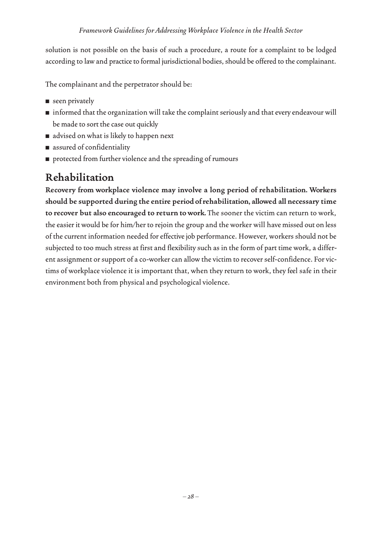solution is not possible on the basis of such a procedure, a route for a complaint to be lodged according to law and practice to formal jurisdictional bodies, should be offered to the complainant.

The complainant and the perpetrator should be:

- seen privately
- informed that the organization will take the complaint seriously and that every endeavour will be made to sort the case out quickly
- advised on what is likely to happen next
- assured of confidentiality
- protected from further violence and the spreading of rumours

### **Rehabilitation**

**Recovery from workplace violence may involve a long period of rehabilitation. Workers should be supported during the entire period of rehabilitation, allowed all necessary time to recover but also encouraged to return to work.** The sooner the victim can return to work, the easier it would be for him/her to rejoin the group and the worker will have missed out on less of the current information needed for effective job performance. However, workers should not be subjected to too much stress at first and flexibility such as in the form of part time work, a different assignment or support of a co-worker can allow the victim to recover self-confidence. For victims of workplace violence it is important that, when they return to work, they feel safe in their environment both from physical and psychological violence.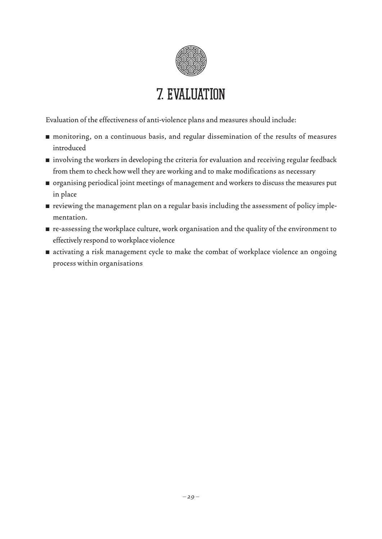

## 7. EVALUATION

Evaluation of the effectiveness of anti-violence plans and measures should include:

- monitoring, on a continuous basis, and regular dissemination of the results of measures introduced
- involving the workers in developing the criteria for evaluation and receiving regular feedback from them to check how well they are working and to make modifications as necessary
- organising periodical joint meetings of management and workers to discuss the measures put in place
- reviewing the management plan on a regular basis including the assessment of policy implementation.
- re-assessing the workplace culture, work organisation and the quality of the environment to effectively respond to workplace violence
- activating a risk management cycle to make the combat of workplace violence an ongoing process within organisations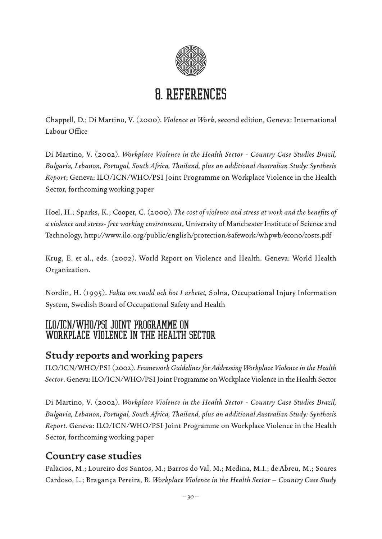

## 8. REFERENCES

Chappell, D.; Di Martino, V. (2000). *Violence at Work*, second edition, Geneva: International Labour Office

Di Martino, V. (2002). *Workplace Violence in the Health Sector - Country Case Studies Brazil, Bulgaria, Lebanon, Portugal, South Africa, Thailand, plus an additional Australian Study: Synthesis Report*; Geneva: ILO/ICN/WHO/PSI Joint Programme on Workplace Violence in the Health Sector, forthcoming working paper

Hoel, H.; Sparks, K.; Cooper, C. (2000). *The cost of violence and stress at work and the benefits of a violence and stress- free working environment*, University of Manchester Institute of Science and Technology, http://www.ilo.org/public/english/protection/safework/whpwb/econo/costs.pdf

Krug, E. et al., eds. (2002). World Report on Violence and Health. Geneva: World Health Organization.

Nordin, H. (1995). *Fakta om vaold och hot I arbetet,* Solna, Occupational Injury Information System, Swedish Board of Occupational Safety and Health

#### ILO/ICN/WHO/PSI Joint Programme on Workplace Violence in the Health Sector

### **Study reports and working papers**

ILO/ICN/WHO/PSI (2002*). Framework Guidelines for Addressing Workplace Violence in the Health Sector*. Geneva: ILO/ICN/WHO/PSI Joint Programme on Workplace Violence in the Health Sector

Di Martino, V. (2002). *Workplace Violence in the Health Sector - Country Case Studies Brazil, Bulgaria, Lebanon, Portugal, South Africa, Thailand, plus an additional Australian Study: Synthesis Report.* Geneva: ILO/ICN/WHO/PSI Joint Programme on Workplace Violence in the Health Sector, forthcoming working paper

### **Country case studies**

Palácios, M.; Loureiro dos Santos, M.; Barros do Val, M.; Medina, M.I.; de Abreu, M.; Soares Cardoso, L.; Bragança Pereira, B. *Workplace Violence in the Health Sector – Country Case Study*